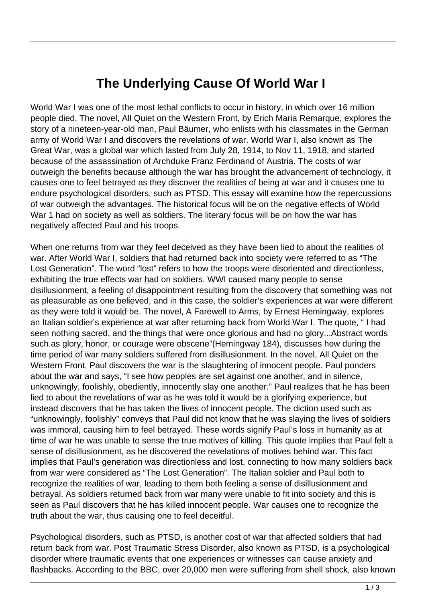## **The Underlying Cause Of World War I**

World War I was one of the most lethal conflicts to occur in history, in which over 16 million people died. The novel, All Quiet on the Western Front, by Erich Maria Remarque, explores the story of a nineteen-year-old man, Paul Bäumer, who enlists with his classmates in the German army of World War I and discovers the revelations of war. World War I, also known as The Great War, was a global war which lasted from July 28, 1914, to Nov 11, 1918, and started because of the assassination of Archduke Franz Ferdinand of Austria. The costs of war outweigh the benefits because although the war has brought the advancement of technology, it causes one to feel betrayed as they discover the realities of being at war and it causes one to endure psychological disorders, such as PTSD. This essay will examine how the repercussions of war outweigh the advantages. The historical focus will be on the negative effects of World War 1 had on society as well as soldiers. The literary focus will be on how the war has negatively affected Paul and his troops.

When one returns from war they feel deceived as they have been lied to about the realities of war. After World War I, soldiers that had returned back into society were referred to as "The Lost Generation". The word "lost" refers to how the troops were disoriented and directionless, exhibiting the true effects war had on soldiers. WWI caused many people to sense disillusionment, a feeling of disappointment resulting from the discovery that something was not as pleasurable as one believed, and in this case, the soldier's experiences at war were different as they were told it would be. The novel, A Farewell to Arms, by Ernest Hemingway, explores an Italian soldier's experience at war after returning back from World War I. The quote, " I had seen nothing sacred, and the things that were once glorious and had no glory...Abstract words such as glory, honor, or courage were obscene"(Hemingway 184), discusses how during the time period of war many soldiers suffered from disillusionment. In the novel, All Quiet on the Western Front, Paul discovers the war is the slaughtering of innocent people. Paul ponders about the war and says, "I see how peoples are set against one another, and in silence, unknowingly, foolishly, obediently, innocently slay one another." Paul realizes that he has been lied to about the revelations of war as he was told it would be a glorifying experience, but instead discovers that he has taken the lives of innocent people. The diction used such as "unknowingly, foolishly" conveys that Paul did not know that he was slaying the lives of soldiers was immoral, causing him to feel betrayed. These words signify Paul's loss in humanity as at time of war he was unable to sense the true motives of killing. This quote implies that Paul felt a sense of disillusionment, as he discovered the revelations of motives behind war. This fact implies that Paul's generation was directionless and lost, connecting to how many soldiers back from war were considered as "The Lost Generation". The Italian soldier and Paul both to recognize the realities of war, leading to them both feeling a sense of disillusionment and betrayal. As soldiers returned back from war many were unable to fit into society and this is seen as Paul discovers that he has killed innocent people. War causes one to recognize the truth about the war, thus causing one to feel deceitful. returns from war they feel deceive<br>World War I, soldiers that had returation". The word "lost" refers to h<br>the true effects war had on soldier<br>ment, a feeling of disappointment i<br>able as one believed, and in this c<br>re told

Psychological disorders, such as PTSD, is another cost of war that affected soldiers that had return back from war. Post Traumatic Stress Disorder, also known as PTSD, is a psychological disorder where traumatic events that one experiences or witnesses can cause anxiety and flashbacks. According to the BBC, over 20,000 men were suffering from shell shock, also known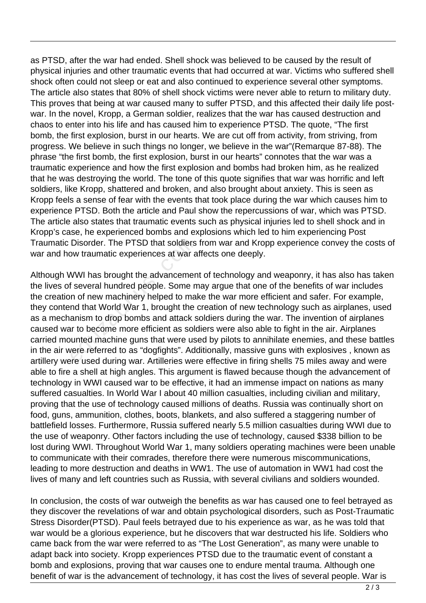as PTSD, after the war had ended. Shell shock was believed to be caused by the result of physical injuries and other traumatic events that had occurred at war. Victims who suffered shell shock often could not sleep or eat and also continued to experience several other symptoms. The article also states that 80% of shell shock victims were never able to return to military duty. This proves that being at war caused many to suffer PTSD, and this affected their daily life postwar. In the novel, Kropp, a German soldier, realizes that the war has caused destruction and chaos to enter into his life and has caused him to experience PTSD. The quote, "The first bomb, the first explosion, burst in our hearts. We are cut off from activity, from striving, from progress. We believe in such things no longer, we believe in the war"(Remarque 87-88). The phrase "the first bomb, the first explosion, burst in our hearts" connotes that the war was a traumatic experience and how the first explosion and bombs had broken him, as he realized that he was destroying the world. The tone of this quote signifies that war was horrific and left soldiers, like Kropp, shattered and broken, and also brought about anxiety. This is seen as Kropp feels a sense of fear with the events that took place during the war which causes him to experience PTSD. Both the article and Paul show the repercussions of war, which was PTSD. The article also states that traumatic events such as physical injuries led to shell shock and in Kropp's case, he experienced bombs and explosions which led to him experiencing Post Traumatic Disorder. The PTSD that soldiers from war and Kropp experience convey the costs of war and how traumatic experiences at war affects one deeply.

Although WWI has brought the advancement of technology and weaponry, it has also has taken the lives of several hundred people. Some may argue that one of the benefits of war includes the creation of new machinery helped to make the war more efficient and safer. For example, they contend that World War 1, brought the creation of new technology such as airplanes, used as a mechanism to drop bombs and attack soldiers during the war. The invention of airplanes caused war to become more efficient as soldiers were also able to fight in the air. Airplanes carried mounted machine guns that were used by pilots to annihilate enemies, and these battles in the air were referred to as "dogfights". Additionally, massive guns with explosives , known as artillery were used during war. Artilleries were effective in firing shells 75 miles away and were able to fire a shell at high angles. This argument is flawed because though the advancement of technology in WWI caused war to be effective, it had an immense impact on nations as many suffered casualties. In World War I about 40 million casualties, including civilian and military, proving that the use of technology caused millions of deaths. Russia was continually short on food, guns, ammunition, clothes, boots, blankets, and also suffered a staggering number of battlefield losses. Furthermore, Russia suffered nearly 5.5 million casualties during WWI due to the use of weaponry. Other factors including the use of technology, caused \$338 billion to be lost during WWI. Throughout World War 1, many soldiers operating machines were been unable to communicate with their comrades, therefore there were numerous miscommunications, leading to more destruction and deaths in WW1. The use of automation in WW1 had cost the lives of many and left countries such as Russia, with several civilians and soldiers wounded. Disorder. The PTSD that soldiers<br>by traumatic experiences at war a<br>WWI has brought the advancemen<br>f several hundred people. Some m<br>n of new machinery helped to mai<br>nd that World War 1, brought the<br>anism to drop bombs and a

In conclusion, the costs of war outweigh the benefits as war has caused one to feel betrayed as they discover the revelations of war and obtain psychological disorders, such as Post-Traumatic Stress Disorder(PTSD). Paul feels betrayed due to his experience as war, as he was told that war would be a glorious experience, but he discovers that war destructed his life. Soldiers who came back from the war were referred to as "The Lost Generation", as many were unable to adapt back into society. Kropp experiences PTSD due to the traumatic event of constant a bomb and explosions, proving that war causes one to endure mental trauma. Although one benefit of war is the advancement of technology, it has cost the lives of several people. War is